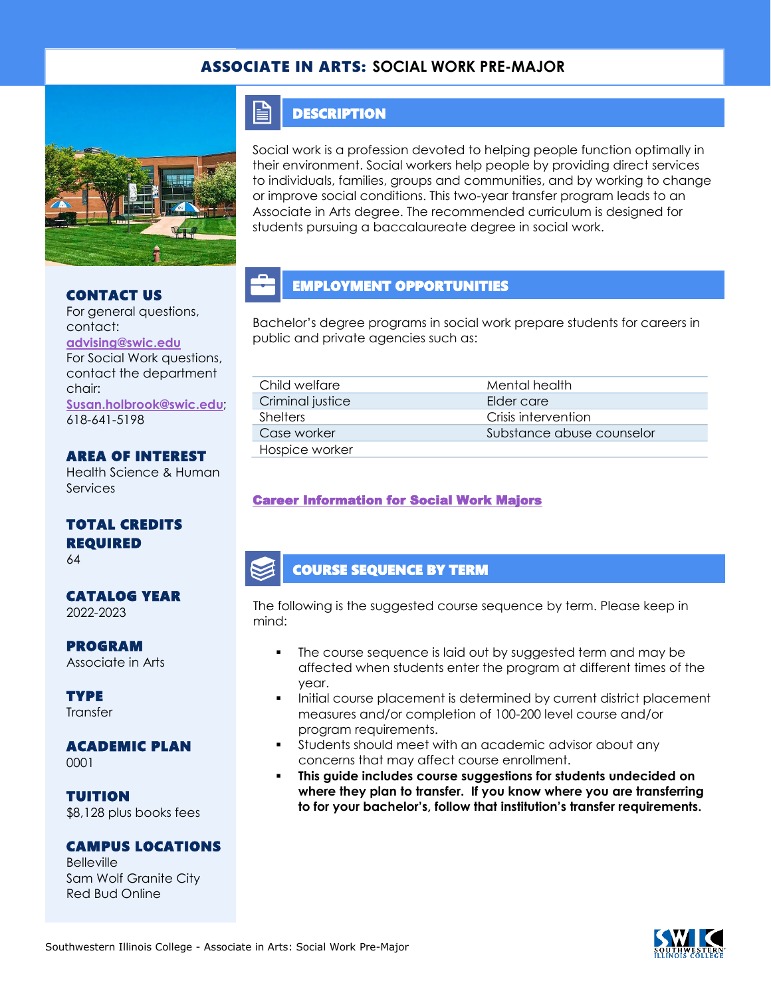## ASSOCIATE IN ARTS: **SOCIAL WORK PRE-MAJOR**



#### CONTACT US

For general questions, contact: **[advising@swic.edu](mailto:advising@swic.edu)** For Social Work questions, contact the department chair: **[Susan.holbrook@swic.edu](mailto:Susan.holbrook@swic.edu)**; 618-641-5198

## AREA OF INTEREST

Health Science & Human Services

## TOTAL CREDITS REQUIRED

64

#### CATALOG YEAR 2022-2023

PROGRAM Associate in Arts

**TYPE Transfer** 

## ACADEMIC PLAN

0001

TUITION \$8,128 plus books fees

#### CAMPUS LOCATIONS

Belleville Sam Wolf Granite City Red Bud Online

## **DESCRIPTION**

E

Social work is a profession devoted to helping people function optimally in their environment. Social workers help people by providing direct services to individuals, families, groups and communities, and by working to change or improve social conditions. This two-year transfer program leads to an Associate in Arts degree. The recommended curriculum is designed for students pursuing a baccalaureate degree in social work.

## EMPLOYMENT OPPORTUNITIES

Bachelor's degree programs in social work prepare students for careers in public and private agencies such as:

| Child welfare    | Mental health             |
|------------------|---------------------------|
| Criminal justice | Elder care                |
| <b>Shelters</b>  | Crisis intervention       |
| Case worker      | Substance abuse counselor |
| Hospice worker   |                           |

### [Career Information for Social Work Majors](https://www.onetonline.org/find/quick?s=social+work)

### COURSE SEQUENCE BY TERM

The following is the suggested course sequence by term. Please keep in mind:

- The course sequence is laid out by suggested term and may be affected when students enter the program at different times of the year.
- Initial course placement is determined by current district placement measures and/or completion of 100-200 level course and/or program requirements.
- Students should meet with an academic advisor about any concerns that may affect course enrollment.
- This guide includes course suggestions for students undecided on **where they plan to transfer. If you know where you are transferring to for your bachelor's, follow that institution's transfer requirements.**